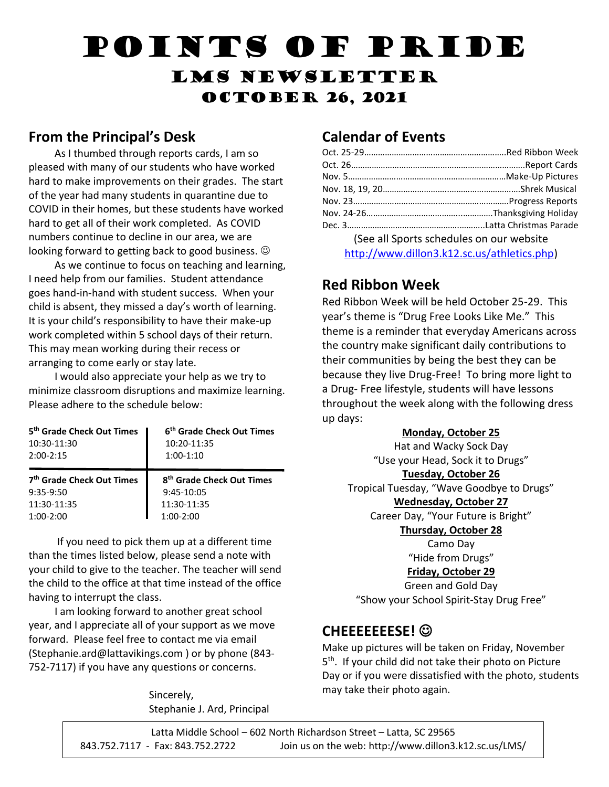# Points of Pride LMS Newsletter **OCTOBER 26, 2021**

#### **From the Principal's Desk**

 As I thumbed through reports cards, I am so pleased with many of our students who have worked hard to make improvements on their grades. The start of the year had many students in quarantine due to COVID in their homes, but these students have worked hard to get all of their work completed. As COVID numbers continue to decline in our area, we are looking forward to getting back to good business.

 As we continue to focus on teaching and learning, I need help from our families. Student attendance goes hand-in-hand with student success. When your child is absent, they missed a day's worth of learning. It is your child's responsibility to have their make-up work completed within 5 school days of their return. This may mean working during their recess or arranging to come early or stay late.

 I would also appreciate your help as we try to minimize classroom disruptions and maximize learning. Please adhere to the schedule below:

| 5 <sup>th</sup> Grade Check Out Times  <br>10:30-11:30<br>$2:00-2:15$ | 6 <sup>th</sup> Grade Check Out Times<br>10:20-11:35<br>$1:00-1:10$ |
|-----------------------------------------------------------------------|---------------------------------------------------------------------|
|                                                                       |                                                                     |
| 7 <sup>th</sup> Grade Check Out Times                                 | 8 <sup>th</sup> Grade Check Out Times                               |
| $9:35-9:50$                                                           | 9:45-10:05                                                          |
| 11:30-11:35                                                           | 11:30-11:35                                                         |

 If you need to pick them up at a different time than the times listed below, please send a note with your child to give to the teacher. The teacher will send the child to the office at that time instead of the office having to interrupt the class.

 I am looking forward to another great school year, and I appreciate all of your support as we move forward. Please feel free to contact me via email (Stephanie.ard@lattavikings.com ) or by phone (843- 752-7117) if you have any questions or concerns.

> Sincerely, Stephanie J. Ard, Principal

#### **Calendar of Events**

| (See all Sports schedules on our website    |
|---------------------------------------------|
| http://www.dillon3.k12.sc.us/athletics.php) |

#### **Red Ribbon Week**

Red Ribbon Week will be held October 25-29. This year's theme is "Drug Free Looks Like Me." This theme is a reminder that everyday Americans across the country make significant daily contributions to their communities by being the best they can be because they live Drug-Free! To bring more light to a Drug- Free lifestyle, students will have lessons throughout the week along with the following dress up days:

#### **Monday, October 25**

Hat and Wacky Sock Day "Use your Head, Sock it to Drugs" **Tuesday, October 26** Tropical Tuesday, "Wave Goodbye to Drugs" **Wednesday, October 27** Career Day, "Your Future is Bright"

**Thursday, October 28**

Camo Day "Hide from Drugs" **Friday, October 29**

Green and Gold Day "Show your School Spirit-Stay Drug Free"

#### **CHEEEEEEESE!**

Make up pictures will be taken on Friday, November 5<sup>th</sup>. If your child did not take their photo on Picture Day or if you were dissatisfied with the photo, students may take their photo again.